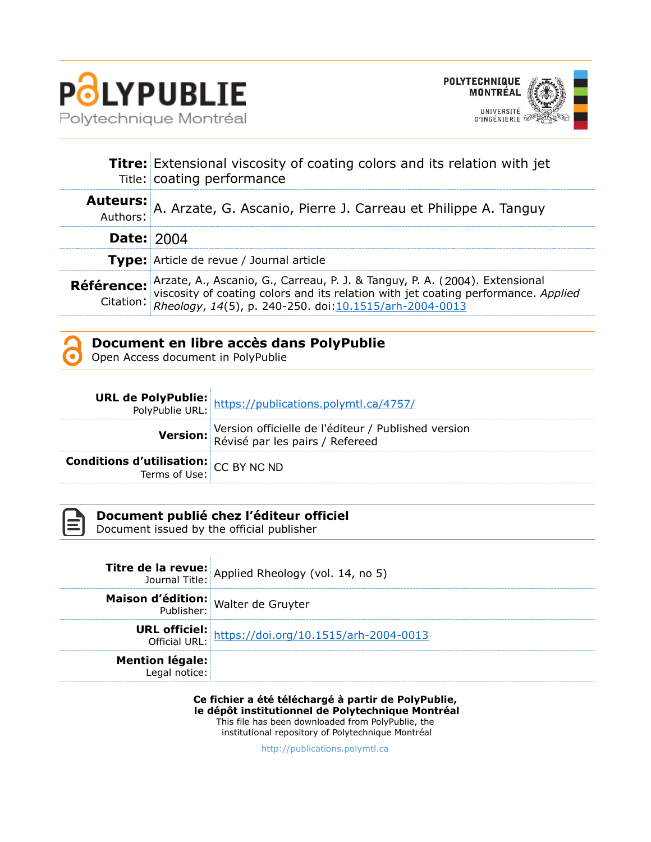



|                   | <b>Titre:</b> Extensional viscosity of coating colors and its relation with jet<br>Title: coating performance                                                                                                                          |
|-------------------|----------------------------------------------------------------------------------------------------------------------------------------------------------------------------------------------------------------------------------------|
|                   | Auteurs: A. Arzate, G. Ascanio, Pierre J. Carreau et Philippe A. Tanguy                                                                                                                                                                |
| <b>Date: 2004</b> |                                                                                                                                                                                                                                        |
|                   | Type: Article de revue / Journal article                                                                                                                                                                                               |
|                   | <b>Référence:</b> Arzate, A., Ascanio, G., Carreau, P. J. & Tanguy, P. A. (2004). Extensional viscosity of coating colors and its relation with jet coating performance. Applied<br>Citation: Rheology, 14(5), p. 240-250. doi:10.1515 |

# **Document en libre accès dans PolyPublie**

Open Access document in PolyPublie

|                                                              | <b>URL de PolyPublie:</b> https://publications.polymtl.ca/4757/<br>PolyPublie URL: https://publications.polymtl.ca/4757/ |
|--------------------------------------------------------------|--------------------------------------------------------------------------------------------------------------------------|
|                                                              | Version officielle de l'éditeur / Published version<br>Révisé par les pairs / Refereed                                   |
| <b>Conditions d'utilisation:</b> $CC$ BY NC ND Terms of Use: |                                                                                                                          |



# **Document publié chez l'éditeur officiel**

Document issued by the official publisher

|                                                          | <b>Titre de la revue:</b> Applied Rheology (vol. 14, no 5)                  |
|----------------------------------------------------------|-----------------------------------------------------------------------------|
| <b>Maison d'édition:</b><br>Publisher: Walter de Gruyter |                                                                             |
|                                                          | <b>URL officiel:</b><br>Official URL: https://doi.org/10.1515/arh-2004-0013 |
| <b>Mention légale:</b><br>'egal notice:                  |                                                                             |

**Ce fichier a été téléchargé à partir de PolyPublie, le dépôt institutionnel de Polytechnique Montréal** This file has been downloaded from PolyPublie, the institutional repository of Polytechnique Montréal

[http://publications.polymtl.ca](http://publications.polymtl.ca/)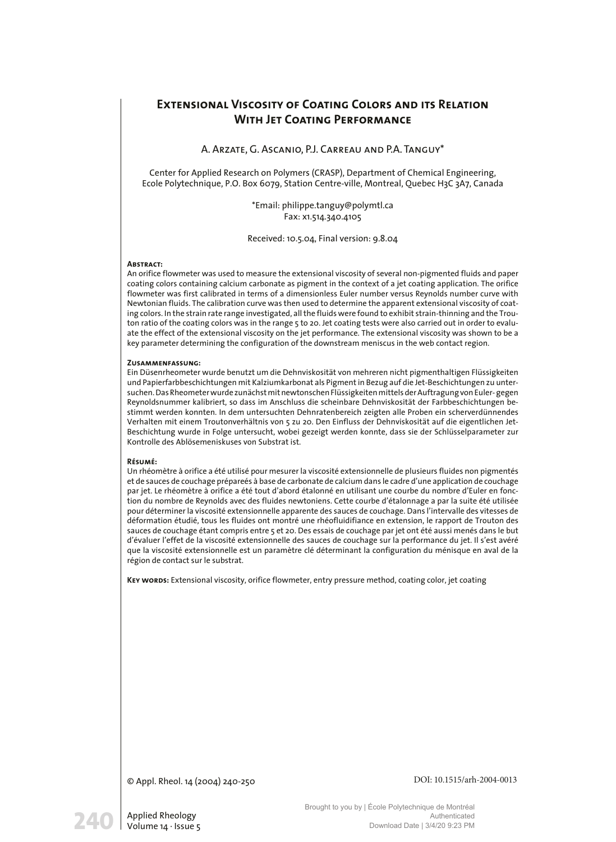# **Extensional Viscosity of Coating Colors and its Relation With Jet Coating Performance**

A. Arzate, G. Ascanio, P.J. Carreau and P.A. Tanguy\*

Center for Applied Research on Polymers (CRASP), Department of Chemical Engineering, Ecole Polytechnique, P.O. Box 6079, Station Centre-ville, Montreal, Quebec H3C 3A7, Canada

> \*Email: philippe.tanguy@polymtl.ca Fax: x1.514.340.4105

Received: 10.5.04, Final version: 9.8.04

#### **Abstract:**

An orifice flowmeter was used to measure the extensional viscosity of several non-pigmented fluids and paper coating colors containing calcium carbonate as pigment in the context of a jet coating application. The orifice flowmeter was first calibrated in terms of a dimensionless Euler number versus Reynolds number curve with Newtonian fluids. The calibration curve was then used to determine the apparent extensional viscosity of coating colors. In the strain rate range investigated, all the fluids were found to exhibit strain-thinning and the Trouton ratio of the coating colors was in the range 5 to 20. Jet coating tests were also carried out in order to evaluate the effect of the extensional viscosity on the jet performance. The extensional viscosity was shown to be a key parameter determining the configuration of the downstream meniscus in the web contact region.

#### **Zusammenfassung:**

Ein Düsenrheometer wurde benutzt um die Dehnviskosität von mehreren nicht pigmenthaltigen Flüssigkeiten und Papierfarbbeschichtungen mit Kalziumkarbonat als Pigment in Bezug auf die Jet-Beschichtungen zu untersuchen. Das Rheometer wurde zunächst mit newtonschen Flüssigkeiten mittels der Auftragung von Euler- gegen Reynoldsnummer kalibriert, so dass im Anschluss die scheinbare Dehnviskosität der Farbbeschichtungen bestimmt werden konnten. In dem untersuchten Dehnratenbereich zeigten alle Proben ein scherverdünnendes Verhalten mit einem Troutonverhältnis von 5 zu 20. Den Einfluss der Dehnviskosität auf die eigentlichen Jet-Beschichtung wurde in Folge untersucht, wobei gezeigt werden konnte, dass sie der Schlüsselparameter zur Kontrolle des Ablösemeniskuses von Substrat ist.

#### **Résumé:**

Un rhéomètre à orifice a été utilisé pour mesurer la viscosité extensionnelle de plusieurs fluides non pigmentés et de sauces de couchage prépareés à base de carbonate de calcium dans le cadre d'une application de couchage par jet. Le rhéomètre à orifice a été tout d'abord étalonné en utilisant une courbe du nombre d'Euler en fonction du nombre de Reynolds avec des fluides newtoniens. Cette courbe d'étalonnage a par la suite été utilisée pour déterminer la viscosité extensionnelle apparente des sauces de couchage. Dans l'intervalle des vitesses de déformation étudié, tous les fluides ont montré une rhéofluidifiance en extension, le rapport de Trouton des sauces de couchage étant compris entre 5 et 20. Des essais de couchage par jet ont été aussi menés dans le but d'évaluer l'effet de la viscosité extensionnelle des sauces de couchage sur la performance du jet. Il s'est avéré que la viscosité extensionnelle est un paramètre clé déterminant la configuration du ménisque en aval de la région de contact sur le substrat.

**Key words:** Extensional viscosity, orifice flowmeter, entry pressure method, coating color, jet coating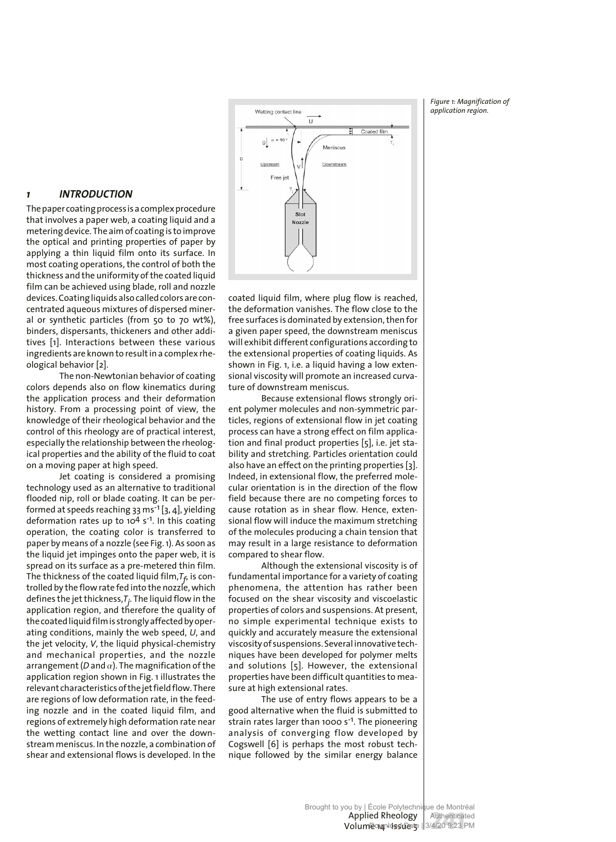*Figure 1: Magnification of application region.*



coated liquid film, where plug flow is reached, the deformation vanishes. The flow close to the free surfaces is dominated by extension, then for a given paper speed, the downstream meniscus will exhibit different configurations according to the extensional properties of coating liquids. As shown in Fig. 1, i.e. a liquid having a low extensional viscosity will promote an increased curvature of downstream meniscus.

Because extensional flows strongly orient polymer molecules and non-symmetric particles, regions of extensional flow in jet coating process can have a strong effect on film application and final product properties [5], i.e. jet stability and stretching. Particles orientation could also have an effect on the printing properties [3]. Indeed, in extensional flow, the preferred molecular orientation is in the direction of the flow field because there are no competing forces to cause rotation as in shear flow. Hence, extensional flow will induce the maximum stretching of the molecules producing a chain tension that may result in a large resistance to deformation compared to shear flow.

Although the extensional viscosity is of fundamental importance for a variety of coating phenomena, the attention has rather been focused on the shear viscosity and viscoelastic properties of colors and suspensions. At present, no simple experimental technique exists to quickly and accurately measure the extensional viscosity of suspensions. Several innovative techniques have been developed for polymer melts and solutions [5]. However, the extensional properties have been difficult quantities to measure at high extensional rates.

The use of entry flows appears to be a good alternative when the fluid is submitted to strain rates larger than 1000  $s^{-1}$ . The pioneering analysis of converging flow developed by Cogswell [6] is perhaps the most robust technique followed by the similar energy balance

### *1 INTRODUCTION*

e paper coating process is a complex procedure at involves a paper web, a coating liquid and a etering device. The aim of coating is to improve e optical and printing properties of paper by plying a thin liquid film onto its surface. In ost coating operations, the control of both the ickness and the uniformity of the coated liquid m can be achieved using blade, roll and nozzle vices. Coating liquids also called colors are conntrated aqueous mixtures of dispersed mineror synthetic particles (from 50 to 70 wt%), nders, dispersants, thickeners and other addies [1]. Interactions between these various gredients are known to result in a complex rheogical behavior [2].

The non-Newtonian behavior of coating lors depends also on flow kinematics during e application process and their deformation tory. From a processing point of view, the owledge of their rheological behavior and the ntrol of this rheology are of practical interest, pecially the relationship between the rheolog-I properties and the ability of the fluid to coat a moving paper at high speed.

Jet coating is considered a promising thnology used as an alternative to traditional oded nip, roll or blade coating. It can be per $r$ med at speeds reaching 33 ms<sup>-1</sup> [3, 4], yielding formation rates up to  $10<sup>4</sup>$  s<sup>-1</sup>. In this coating eration, the coating color is transferred to per by means of a nozzle (see Fig. 1). As soon as e liquid jet impinges onto the paper web, it is read on its surface as a pre-metered thin film. e thickness of the coated liquid film, $T_f$ , is con-)lled by the flow rate fed into the nozzle, which fines the jet thickness, $\mathcal{T}_{j}$ . The liquid flow in the plication region, and therefore the quality of e coated liquid film is strongly affected by opering conditions, mainly the web speed, U, and e jet velocity, *V*, the liquid physical-chemistry d mechanical properties, and the nozzle angement (*D* and  $\alpha$ ). The magnification of the plication region shown in Fig. 1 illustrates the evant characteristics of the jet field flow. There e regions of low deformation rate, in the feedg nozzle and in the coated liquid film, and gions of extremely high deformation rate near e wetting contact line and over the downeam meniscus. In the nozzle, a combination of ear and extensional flows is developed. In the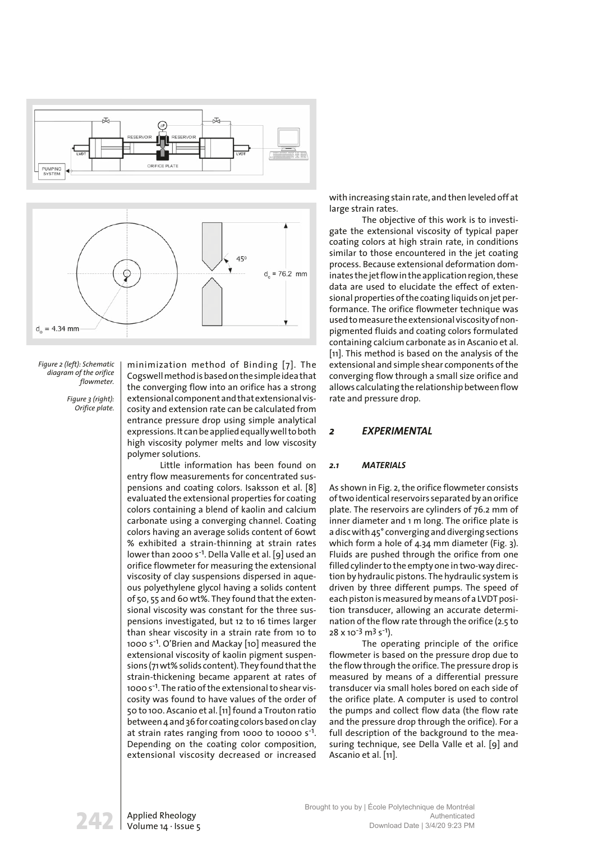



*Figure 2 (left): Schematic diagram of the orifice flowmeter.*

> *Figure 3 (right): Orifice plate.*

minimization method of Binding [7]. The Cogswell method is based on the simple idea that the converging flow into an orifice has a strong extensional component and that extensional viscosity and extension rate can be calculated from entrance pressure drop using simple analytical expressions. It can be applied equally well to both high viscosity polymer melts and low viscosity polymer solutions.

Little information has been found on entry flow measurements for concentrated suspensions and coating colors. Isaksson et al. [8] evaluated the extensional properties for coating colors containing a blend of kaolin and calcium carbonate using a converging channel. Coating colors having an average solids content of 60wt % exhibited a strain-thinning at strain rates lower than 2000 s<sup>-1</sup>. Della Valle et al. [9] used an orifice flowmeter for measuring the extensional viscosity of clay suspensions dispersed in aqueous polyethylene glycol having a solids content of 50, 55 and 60 wt%. They found that the extensional viscosity was constant for the three suspensions investigated, but 12 to 16 times larger than shear viscosity in a strain rate from 10 to 1000 s-1. O'Brien and Mackay [10] measured the extensional viscosity of kaolin pigment suspensions (71 wt% solids content). They found that the strain-thickening became apparent at rates of 1000 s-1. The ratio of the extensional to shear viscosity was found to have values of the order of 50 to 100. Ascanio et al. [11] found a Trouton ratio between 4 and 36 for coating colors based on clay at strain rates ranging from 1000 to 10000 s-1. Depending on the coating color composition, extensional viscosity decreased or increased

with increasing stain rate, and then leveled off at large strain rates.

The objective of this work is to investigate the extensional viscosity of typical paper coating colors at high strain rate, in conditions similar to those encountered in the jet coating process. Because extensional deformation dominates the jet flow in the application region, these data are used to elucidate the effect of extensional properties of the coating liquids on jet performance. The orifice flowmeter technique was used to measure the extensional viscosity of nonpigmented fluids and coating colors formulated containing calcium carbonate as in Ascanio et al. [11]. This method is based on the analysis of the extensional and simple shear components of the converging flow through a small size orifice and allows calculating the relationship between flow rate and pressure drop.

### *2 EXPERIMENTAL*

#### *2.1 MATERIALS*

As shown in Fig. 2, the orifice flowmeter consists of two identical reservoirs separated by an orifice plate. The reservoirs are cylinders of 76.2 mm of inner diameter and 1 m long. The orifice plate is a disc with 45° converging and diverging sections which form a hole of 4.34 mm diameter (Fig. 3). Fluids are pushed through the orifice from one filled cylinder to the empty one in two-way direction by hydraulic pistons. The hydraulic system is driven by three different pumps. The speed of each piston is measured by means of a LVDT position transducer, allowing an accurate determination of the flow rate through the orifice (2.5 to  $28 \times 10^{-3}$  m<sup>3</sup> s<sup>-1</sup>).

The operating principle of the orifice flowmeter is based on the pressure drop due to the flow through the orifice. The pressure drop is measured by means of a differential pressure transducer via small holes bored on each side of the orifice plate. A computer is used to control the pumps and collect flow data (the flow rate and the pressure drop through the orifice). For a full description of the background to the measuring technique, see Della Valle et al. [9] and Ascanio et al. [11].

Brought to you by | École Polytechnique de Montréal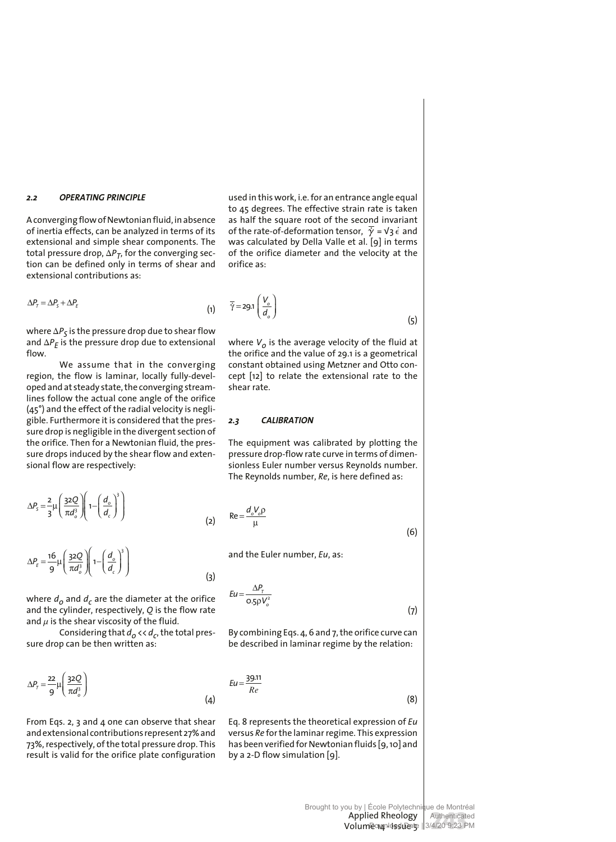#### *2.2 OPERATING PRINCIPLE*

onverging flow of Newtonian fluid, in absence inertia effects, can be analyzed in terms of its tensional and simple shear components. The tal pressure drop,  $\Delta P$ <sub>T</sub>, for the converging sec-In can be defined only in terms of shear and tensional contributions as:

$$
P_{\rm r} = \Delta P_{\rm s} + \Delta P_{\rm E} \tag{1}
$$

 $\Delta P_S$  is the pressure drop due to shear flow  $d \Delta P_F$  is the pressure drop due to extensional w.

We assume that in the converging gion, the flow is laminar, locally fully-develed and at steady state, the converging streames follow the actual cone angle of the orifice  $\mathfrak{s}^{\circ}$ ) and the effect of the radial velocity is neglible. Furthermore it is considered that the presre drop is negligible in the divergent section of e orifice. Then for a Newtonian fluid, the presre drops induced by the shear flow and extenonal flow are respectively:

$$
B_s^2 = \frac{2}{3} \mu \left( \frac{32Q}{\pi d_o^3} \right) \left( 1 - \left( \frac{d_o}{d_c} \right)^3 \right)
$$
 (2)

$$
\sum_{E} = \frac{16}{9} \mu \left( \frac{32Q}{\pi d_o^3} \right) \left( 1 - \left( \frac{d_o}{d_c} \right)^3 \right)
$$
 (3)

 $\theta$  and  $d_{\mathcal{C}}$  are the diameter at the orifice d the cylinder, respectively, *Q* is the flow rate d  $\mu$  is the shear viscosity of the fluid.

Considering that  $d_0 \ll d_c$ , the total presre drop can be then written as:

$$
\gamma = \frac{22}{9} \mu \left( \frac{32Q}{\pi d_o^3} \right)
$$
 (4)

om Eqs. 2, 3 and 4 one can observe that shear d extensional contributions represent 27% and %, respectively, of the total pressure drop. This  $\,$  $s$ ult is valid for the orifice plate configuration

used in this work, i.e. for an entrance angle equal to 45 degrees. The effective strain rate is taken as half the square root of the second invariant of the rate-of-deformation tensor,  $\bar{\dot{\gamma}}$  = √3  $\dot{\epsilon}$  and was calculated by Della Valle et al. [9] in terms of the orifice diameter and the velocity at the orifice as:

$$
\overline{\dot{\gamma}} = 29.1 \left( \frac{V_o}{d_o} \right) \tag{5}
$$

where  $V<sub>o</sub>$  is the average velocity of the fluid at the orifice and the value of 29.1 is a geometrical constant obtained using Metzner and Otto concept [12] to relate the extensional rate to the shear rate.

#### *2.3 CALIBRATION*

The equipment was calibrated by plotting the pressure drop-flow rate curve in terms of dimensionless Euler number versus Reynolds number. The Reynolds number, *Re*, is here defined as:

$$
Re = \frac{d_o V_o \rho}{\mu}
$$
 (6)

and the Euler number, *Eu*, as:

$$
Eu = \frac{\Delta P_{\tau}}{\text{0.5pV}^2_{o}}
$$
\n(7)

By combining Eqs. 4, 6 and 7, the orifice curve can be described in laminar regime by the relation:

$$
Eu = \frac{39.11}{Re}
$$
 (8)

Eq. 8 represents the theoretical expression of *Eu* versus *Re* for the laminar regime. This expression has been verified for Newtonian fluids [9, 10] and by a 2-D flow simulation [9].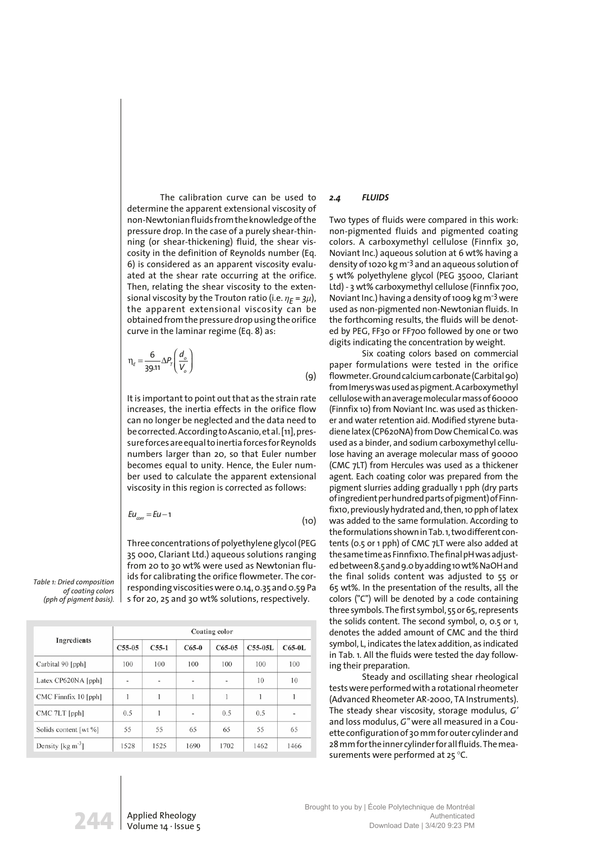The calibration curve can be used to determine the apparent extensional viscosity of non-Newtonian fluids from the knowledge of the pressure drop. In the case of a purely shear-thinning (or shear-thickening) fluid, the shear viscosity in the definition of Reynolds number (Eq. 6) is considered as an apparent viscosity evaluated at the shear rate occurring at the orifice. Then, relating the shear viscosity to the extensional viscosity by the Trouton ratio (i.e.  $\eta_F = 3\mu$ ), the apparent extensional viscosity can be obtained from the pressure drop using the orifice curve in the laminar regime (Eq. 8) as:

$$
\eta_{\varepsilon} = \frac{6}{39.11} \Delta P_{\tau} \left( \frac{d_{o}}{V_{o}} \right)
$$
 (9)

It is important to point out that as the strain rate increases, the inertia effects in the orifice flow can no longer be neglected and the data need to be corrected. According to Ascanio, et al. [11], pressure forces are equal to inertia forces for Reynolds numbers larger than 20, so that Euler number becomes equal to unity. Hence, the Euler number used to calculate the apparent extensional viscosity in this region is corrected as follows:

$$
Eu_{cor} = Eu - 1 \tag{10}
$$

Three concentrations of polyethylene glycol (PEG 35 000, Clariant Ltd.) aqueous solutions ranging from 20 to 30 wt% were used as Newtonian fluids for calibrating the orifice flowmeter. The corresponding viscosities were 0.14, 0.35 and 0.59 Pa s for 20, 25 and 30 wt% solutions, respectively.

*Table 1: Dried composition of coating colors (pph of pigment basis).*

|                               | Coating color            |         |                |                          |           |                          |
|-------------------------------|--------------------------|---------|----------------|--------------------------|-----------|--------------------------|
| Ingredients                   | $C55-05$                 | $C55-1$ | $C65-0$        | $C65-05$                 | $C55-05L$ | $C65-0L$                 |
| Carbital 90 [pph]             | 100                      | 100     | 100            | 100                      | 100       | 100                      |
| Latex CP620NA [pph]           | $\overline{\phantom{a}}$ | ۰       | $\blacksquare$ | $\overline{\phantom{a}}$ | 10        | 10                       |
| CMC Finnfix 10 [pph]          |                          |         | 1              |                          |           |                          |
| CMC 7LT [pph]                 | 0.5                      |         | ٠              | 0.5                      | 0.5       | $\overline{\phantom{a}}$ |
| Solids content [wt %]         | 55                       | 55      | 65             | 65                       | 55        | 65                       |
| Density [kg m <sup>-3</sup> ] | 1528                     | 1525    | 1690           | 1702                     | 1462      | 1466                     |

#### *2.4 FLUIDS*

Two types of fluids were compared in this work: non-pigmented fluids and pigmented coating colors. A carboxymethyl cellulose (Finnfix 30, Noviant Inc.) aqueous solution at 6 wt% having a density of 1020 kg m-3 and an aqueous solution of 5 wt% polyethylene glycol (PEG 35000, Clariant Ltd) - 3 wt% carboxymethyl cellulose (Finnfix 700, Noviant Inc.) having a density of 1009 kg m-3were used as non-pigmented non-Newtonian fluids. In the forthcoming results, the fluids will be denoted by PEG, FF30 or FF700 followed by one or two digits indicating the concentration by weight.

Six coating colors based on commercial paper formulations were tested in the orifice flowmeter. Ground calcium carbonate (Carbital 90) from Imerys was used as pigment. A carboxymethyl cellulose with an average molecular mass of 60000 (Finnfix 10) from Noviant Inc. was used as thickener and water retention aid. Modified styrene butadiene latex (CP620NA) from Dow Chemical Co. was used as a binder, and sodium carboxymethyl cellulose having an average molecular mass of 90000 (CMC 7LT) from Hercules was used as a thickener agent. Each coating color was prepared from the pigment slurries adding gradually 1 pph (dry parts of ingredient per hundred parts of pigment) of Finnfix10, previously hydrated and, then, 10 pph of latex was added to the same formulation. According to the formulations shown in Tab. 1, two different contents (0.5 or 1 pph) of CMC 7LT were also added at the same time as Finnfix10. The final pH was adjusted between 8.5 and 9.0 by adding 10 wt% NaOH and the final solids content was adjusted to 55 or 65 wt%. In the presentation of the results, all the colors ("C") will be denoted by a code containing three symbols. The first symbol, 55 or 65, represents the solids content. The second symbol, 0, 0.5 or 1, denotes the added amount of CMC and the third symbol, L, indicates the latex addition, as indicated in Tab. 1. All the fluids were tested the day following their preparation.

Steady and oscillating shear rheological tests were performed with a rotational rheometer (Advanced Rheometer AR-2000, TA Instruments). The steady shear viscosity, storage modulus, *G'* and loss modulus, *G"* were all measured in a Couette configuration of 30 mm for outer cylinder and 28 mm for the inner cylinder for all fluids. The measurements were performed at 25 ℃.

Brought to you by | École Polytechnique de Montréal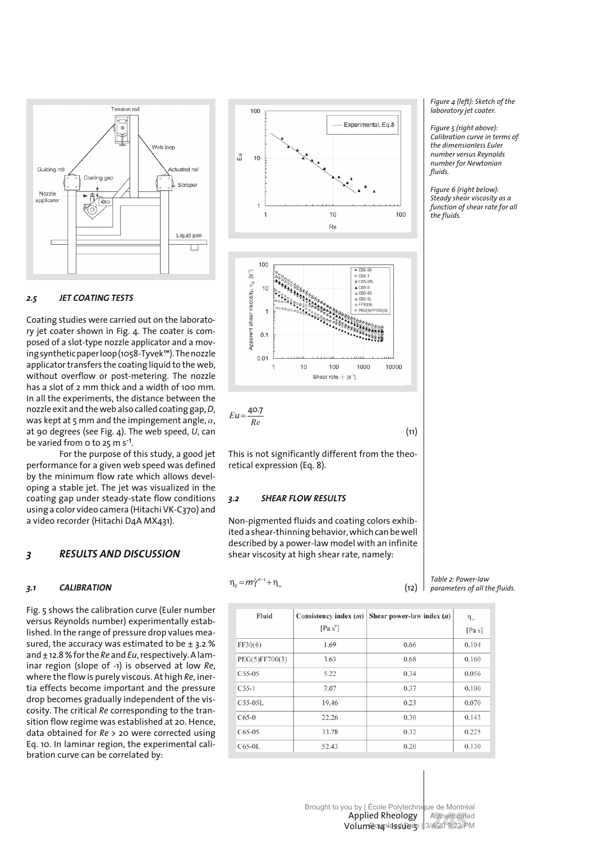

#### *2.5 JET COATING TESTS*

ating studies were carried out on the laboratojet coater shown in Fig. 4. The coater is comsed of a slot-type nozzle applicator and a moving synthetic paper loop (1058-Tyvek™). The nozzle plicator transfers the coating liquid to the web, thout overflow or post-metering. The nozzle s a slot of 2 mm thick and a width of 100 mm. all the experiments, the distance between the zzle exit and the web also called coating gap, *D*, as kept at 5 mm and the impingement angle,  $\alpha$ , 90 degrees (see Fig. 4). The web speed, *U*, can varied from  $\sigma$  to 25 m s<sup>-1</sup>.

For the purpose of this study, a good jet rformance for a given web speed was defined the minimum flow rate which allows develing a stable jet. The jet was visualized in the ating gap under steady-state flow conditions ing a color video camera (Hitachi VK-C370) and video recorder (Hitachi D4A MX431).

### *3 RESULTS AND DISCUSSION*

#### *3.1 CALIBRATION*

5. 5 shows the calibration curve (Euler number rsus Reynolds number) experimentally estabhed. In the range of pressure drop values meared, the accuracy was estimated to be  $\pm$  3.2  $\%$ d ± 12.8 % for the *Re* and *Eu*, respectively. A lamar region (slope of -1) is observed at low *Re*, nere the flow is purely viscous. At high *Re*, inereffects become important and the pressure op becomes gradually independent of the vissity. The critical *Re* corresponding to the tranion flow regime was established at 20. Hence, ta obtained for *Re* > 20 were corrected using . 10. In laminar region, the experimental caliation curve can be correlated by:



This is not significantly different from the theoretical expression (Eq. 8).

#### *3.2 SHEAR FLOW RESULTS*

Non-pigmented fluids and coating colors exhibited a shear-thinning behavior, which can be well described by a power-law model with an infinite shear viscosity at high shear rate, namely:

| $\eta_{\scriptscriptstyle \varsigma}\!=\!m\dot{\gamma}^{n\!-\!1}\!+\!\eta_{\scriptscriptstyle \infty}$ | (12) |
|--------------------------------------------------------------------------------------------------------|------|
|                                                                                                        |      |

*Table 2: Power-law parameters of all the fluids.*

| Fluid          | Consistency index $(m)$<br>[Pa s <sup>n</sup> ] | Shear power-law index $(n)$ | $\eta_x$<br>[Pa s] |
|----------------|-------------------------------------------------|-----------------------------|--------------------|
| FF30(6)        | 1.69                                            | 0.66                        | 0.104              |
| PEG(5)FF700(3) | 3.63                                            | 0.68                        | 0.160              |
| $C55-05$       | 5.22                                            | 0.34                        | 0.056              |
| $C55-1$        | 7.07                                            | 0.37                        | 0.100              |
| $C55-05L$      | 19.46                                           | 0.23                        | 0.070              |
| $C65-0$        | 22.26                                           | 0.30                        | 0.143              |
| $C65-05$       | 33.78                                           | 0.32                        | 0.225              |
| $C65-0L$       | 52.43                                           | 0.20                        | 0.130              |

*Figure 4 (left): Sketch of the laboratory jet coater.*

*Figure 5 (right above): Calibration curve in terms of the dimensionless Euler number versus Reynolds number for Newtonian fluids.*

*Figure 6 (right below): Steady shear viscosity as a function of shear rate for all the fluids.*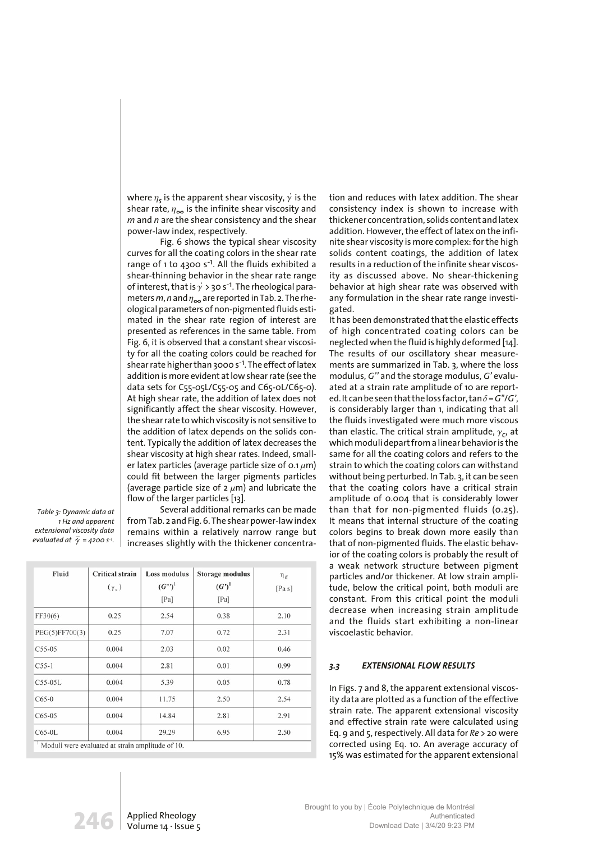where  $\eta_{\mathsf{s}}$  is the apparent shear viscosity,  $\dot{\gamma}$  is the shear rate,  $\eta_{\infty}$  is the infinite shear viscosity and *m* and *n* are the shear consistency and the shear power-law index, respectively.

Fig. 6 shows the typical shear viscosity curves for all the coating colors in the shear rate range of 1 to 4300 s<sup>-1</sup>. All the fluids exhibited a shear-thinning behavior in the shear rate range of interest, that is  $\dot{\gamma}$  > 30 s<sup>-1</sup>. The rheological parameters *m*, *n* and  $\eta_{\infty}$  are reported in Tab. 2. The rheological parameters of non-pigmented fluids estimated in the shear rate region of interest are presented as references in the same table. From Fig. 6, it is observed that a constant shear viscosity for all the coating colors could be reached for shear rate higher than 3000 s<sup>-1</sup>. The effect of latex addition is more evident at low shear rate (see the data sets for C55-05L/C55-05 and C65-0L/C65-0). At high shear rate, the addition of latex does not significantly affect the shear viscosity. However, the shear rate to which viscosity is not sensitive to the addition of latex depends on the solids content. Typically the addition of latex decreases the shear viscosity at high shear rates. Indeed, smaller latex particles (average particle size of 0.1  $\mu$ m) could fit between the larger pigments particles (average particle size of  $2 \mu m$ ) and lubricate the flow of the larger particles [13].

*Table 3: Dynamic data at 1 Hz and apparent extensional viscosity data valuated at*  $\overline{\dot{y}}$  = 4200 s<sup>-1</sup>.

Several additional remarks can be made from Tab. 2 and Fig. 6. The shear power-law index remains within a relatively narrow range but increases slightly with the thickener concentra-

| Fluid         | <b>Critical strain</b><br>$(\gamma_c)$           | Loss modulus<br>$(G^{\prime})^1$ | Storage modulus<br>$(G')^1$ | $\eta_E$<br>[Pa s] |
|---------------|--------------------------------------------------|----------------------------------|-----------------------------|--------------------|
|               |                                                  | [Pa]                             | [Pa]                        |                    |
| F30(6)        | 0.25                                             | 2.54                             | 0.38                        | 2.10               |
| EG(5)FF700(3) | 0.25                                             | 7.07                             | 0.72                        | 2.31               |
| $55 - 05$     | 0.004                                            | 2.03                             | 0.02                        | 0.46               |
| $55 - 1$      | 0.004                                            | 2.81                             | 0.01                        | 0.99               |
| $55-05L$      | 0.004                                            | 5.39                             | 0.05                        | 0.78               |
| $65-0$        | 0.004                                            | 11.75                            | 2.50                        | 2.54               |
| $65 - 05$     | 0.004                                            | 14.84                            | 2.81                        | 2.91               |
| $65 - 0L$     | 0.004                                            | 29.29                            | 6.95                        | 2.50               |
|               | Moduli were evaluated at strain amplitude of 10. |                                  |                             |                    |

tion and reduces with latex addition. The shear consistency index is shown to increase with thickener concentration, solids content and latex addition. However, the effect of latex on the infinite shear viscosity is more complex: for the high solids content coatings, the addition of latex results in a reduction of the infinite shear viscosity as discussed above. No shear-thickening behavior at high shear rate was observed with any formulation in the shear rate range investigated.

It has been demonstrated that the elastic effects of high concentrated coating colors can be neglected when the fluid is highly deformed [14]. The results of our oscillatory shear measurements are summarized in Tab. 3, where the loss modulus, *G''* and the storage modulus, *G'* evaluated at a strain rate amplitude of 10 are reported. It can be seen that the loss factor,  $tan \delta = G''/G'$ , is considerably larger than 1, indicating that all the fluids investigated were much more viscous than elastic. The critical strain amplitude,  $\gamma_c$ , at which moduli depart from a linear behavior is the same for all the coating colors and refers to the strain to which the coating colors can withstand without being perturbed. In Tab. 3, it can be seen that the coating colors have a critical strain amplitude of 0.004 that is considerably lower than that for non-pigmented fluids (0.25). It means that internal structure of the coating colors begins to break down more easily than that of non-pigmented fluids. The elastic behavior of the coating colors is probably the result of a weak network structure between pigment particles and/or thickener. At low strain amplitude, below the critical point, both moduli are constant. From this critical point the moduli decrease when increasing strain amplitude and the fluids start exhibiting a non-linear viscoelastic behavior.

#### *3.3 EXTENSIONAL FLOW RESULTS*

In Figs. 7 and 8, the apparent extensional viscosity data are plotted as a function of the effective strain rate. The apparent extensional viscosity and effective strain rate were calculated using Eq. 9 and 5, respectively. All data for *Re* > 20 were corrected using Eq. 10. An average accuracy of 15% was estimated for the apparent extensional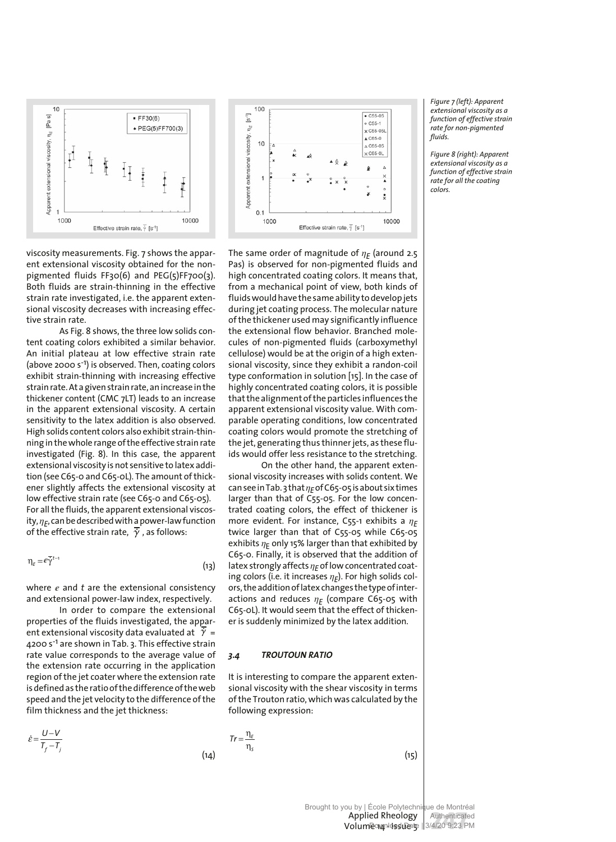

cosity measurements. Fig. 7 shows the appart extensional viscosity obtained for the nonpigmented fluids FF30(6) and PEG(5)FF700(3). th fluids are strain-thinning in the effective ain rate investigated, i.e. the apparent extennal viscosity decreases with increasing effece strain rate.

As Fig. 8 shows, the three low solids con-It coating colors exhibited a similar behavior. initial plateau at low effective strain rate (above 2000 s<sup>-1</sup>) is observed. Then, coating colors hibit strain-thinning with increasing effective ain rate. At a given strain rate, an increase in the ckener content (CMC 7LT) leads to an increase the apparent extensional viscosity. A certain nsitivity to the latex addition is also observed. gh solids content colors also exhibit strain-thinng in the whole range of the effective strain rate restigated (Fig. 8). In this case, the apparent tensional viscosity is not sensitive to latex addin (see C65-0 and C65-0L). The amount of thicker slightly affects the extensional viscosity at w effective strain rate (see C65-0 and C65-05). r all the fluids, the apparent extensional viscos-,  $\eta_{E}$ , can be described with a power-law function the effective strain rate,  $\bar{\dot{\gamma}}$  , as follows:

$$
=e\overline{\gamma}^{t-1} \tag{13}
$$

 $\bm{\mathit{u}}$  e and  $\bm{\mathit{t}}$  are the extensional consistency d extensional power-law index, respectively.

In order to compare the extensional pperties of the fluids investigated, the appart extensional viscosity data evaluated at  $\hspace{0.1 cm}$   $\hspace{0.1 cm}$  = oo s<sup>-1</sup> are shown in Tab. 3. This effective strain e value corresponds to the average value of e extension rate occurring in the application gion of the jet coater where the extension rate defined as the ratio of the difference of the web eed and the jet velocity to the difference of the m thickness and the jet thickness:

$$
=\frac{U-V}{T_f-T_j}
$$



The same order of magnitude of  $\eta_F$  (around 2.5) Pas) is observed for non-pigmented fluids and high concentrated coating colors. It means that, from a mechanical point of view, both kinds of fluids would have the same ability to develop jets during jet coating process. The molecular nature of the thickener used may significantly influence the extensional flow behavior. Branched molecules of non-pigmented fluids (carboxymethyl cellulose) would be at the origin of a high extensional viscosity, since they exhibit a randon-coil type conformation in solution [15]. In the case of highly concentrated coating colors, it is possible that the alignment of the particles influences the apparent extensional viscosity value. With comparable operating conditions, low concentrated coating colors would promote the stretching of the jet, generating thus thinner jets, as these fluids would offer less resistance to the stretching.

On the other hand, the apparent extensional viscosity increases with solids content. We can see in Tab. 3 that  $\eta_F$  of C65-05 is about six times larger than that of C55-05. For the low concentrated coating colors, the effect of thickener is more evident. For instance, C55-1 exhibits a  $\eta_F$ twice larger than that of C55-05 while C65-05 exhibits  $\eta_F$  only 15% larger than that exhibited by C65-0. Finally, it is observed that the addition of latex strongly affects  $\eta_F$  of low concentrated coating colors (i.e. it increases  $\eta_F$ ). For high solids colors, the addition of latex changes the type of interactions and reduces  $\eta_F$  (compare C65-05 with C65-0L). It would seem that the effect of thickener is suddenly minimized by the latex addition.

#### *3.4 TROUTOUN RATIO*

It is interesting to compare the apparent extensional viscosity with the shear viscosity in terms of the Trouton ratio, which was calculated by the following expression:

$$
Tr = \frac{\eta_{\varepsilon}}{\eta_{s}}
$$

 $(14)$ 

*Figure 7 (left): Apparent extensional viscosity as a function of effective strain rate for non-pigmented fluids.*

*Figure 8 (right): Apparent extensional viscosity as a function of effective strain rate for all the coating colors.*

(15)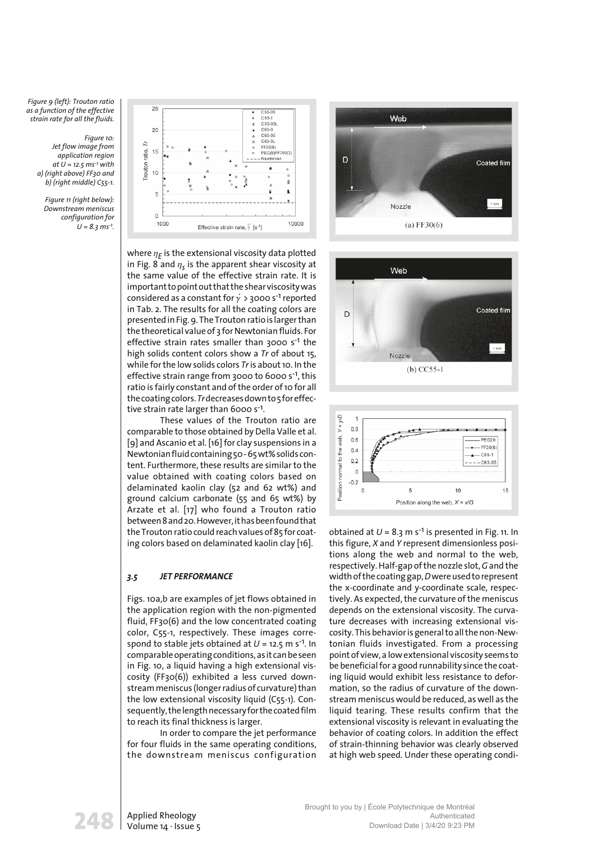*Figure 9 (left): Trouton ratio as a function of the effective strain rate for all the fluids.*

*Figure 10: Jet flow image from application region at U = 12.5 ms-1 with a) (right above) FF30 and b) (right middle) C55-1.*

*Figure 11 (right below): Downstream meniscus configuration for U = 8.3 ms-1.*



where  $\eta_F$  is the extensional viscosity data plotted in Fig. 8 and  $\eta_{\rm s}$  is the apparent shear viscosity at the same value of the effective strain rate. It is important to point out that the shear viscosity was considered as a constant for  $\gamma$  > 3000 s<sup>-1</sup> reported in Tab. 2. The results for all the coating colors are presented in Fig. 9. The Trouton ratio is larger than the theoretical value of 3 for Newtonian fluids. For effective strain rates smaller than 3000  $s<sup>-1</sup>$  the high solids content colors show a *Tr* of about 15, while for the low solids colors *Tr*is about 10. In the effective strain range from 3000 to 6000 s<sup>-1</sup>, this ratio is fairly constant and of the order of 10 for all the coating colors. *Tr*decreases down to 5 for effective strain rate larger than 6000 s-1.

These values of the Trouton ratio are comparable to those obtained by Della Valle et al. [9] and Ascanio et al. [16] for clay suspensions in a Newtonian fluid containing 50 - 65 wt% solids content. Furthermore, these results are similar to the value obtained with coating colors based on delaminated kaolin clay (52 and 62 wt%) and ground calcium carbonate (55 and 65 wt%) by Arzate et al. [17] who found a Trouton ratio between 8 and 20. However, it has been found that the Trouton ratio could reach values of 85 for coating colors based on delaminated kaolin clay [16].

#### *3.5 JET PERFORMANCE*

Figs. 10a,b are examples of jet flows obtained in the application region with the non-pigmented fluid, FF30(6) and the low concentrated coating color, C55-1, respectively. These images correspond to stable jets obtained at  $U = 12.5$  m s<sup>-1</sup>. In comparable operating conditions, as it can be seen in Fig. 10, a liquid having a high extensional viscosity (FF30(6)) exhibited a less curved downstream meniscus (longer radius of curvature) than the low extensional viscosity liquid (C55-1). Consequently, the length necessary for the coated film to reach its final thickness is larger.

In order to compare the jet performance for four fluids in the same operating conditions, the downstream meniscus configuration







obtained at  $U = 8.3$  m s<sup>-1</sup> is presented in Fig. 11. In this figure, *X* and *Y* represent dimensionless positions along the web and normal to the web, respectively. Half-gap of the nozzle slot, *G*and the width of the coating gap, *D*were used to represent the x-coordinate and y-coordinate scale, respectively. As expected, the curvature of the meniscus depends on the extensional viscosity. The curvature decreases with increasing extensional viscosity. This behavior is general to all the non-Newtonian fluids investigated. From a processing point of view, a low extensional viscosity seems to be beneficial for a good runnability since the coating liquid would exhibit less resistance to deformation, so the radius of curvature of the downstream meniscus would be reduced, as well as the liquid tearing. These results confirm that the extensional viscosity is relevant in evaluating the behavior of coating colors. In addition the effect of strain-thinning behavior was clearly observed at high web speed. Under these operating condi-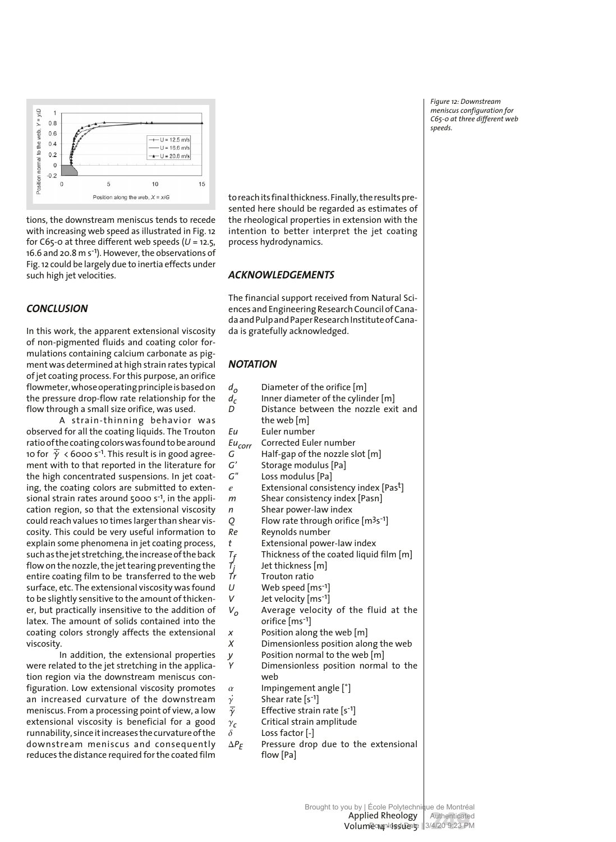

ns, the downstream meniscus tends to recede th increasing web speed as illustrated in Fig. 12  $f$  C65-0 at three different web speeds ( $U = 12.5$ , 6 and 20.8 m s<sup>-1</sup>). However, the observations of I. 12 could be largely due to inertia effects under ch high jet velocities.

### *CONCLUSION*

this work, the apparent extensional viscosity non-pigmented fluids and coating color forulations containing calcium carbonate as pigent was determined at high strain rates typical jet coating process. For this purpose, an orifice wmeter, whose operating principle is based on e pressure drop-flow rate relationship for the w through a small size orifice, was used.

A strain-thinning behavior was served for all the coating liquids. The Trouton io of the coating colors was found to be around: for  $\overline{\gamma}$  < 6000 s<sup>-1</sup>. This result is in good agreeent with to that reported in the literature for e high concentrated suspensions. In jet coat-3, the coating colors are submitted to extennal strain rates around 5000 s<sup>-1</sup>, in the applition region, so that the extensional viscosity uld reach values 10 times larger than shear vissity. This could be very useful information to plain some phenomena in jet coating process, ch as the jet stretching, the increase of the back w on the nozzle, the jet tearing preventing the tire coating film to be transferred to the web rface, etc. The extensional viscosity was found be slightly sensitive to the amount of thickenbut practically insensitive to the addition of lex. The amount of solids contained into the ating colors strongly affects the extensional icosity.

In addition, the extensional properties ere related to the jet stretching in the applica-In region via the downstream meniscus conuration. Low extensional viscosity promotes increased curvature of the downstream eniscus. From a processing point of view, a low tensional viscosity is beneficial for a good nnability, since it increases the curvature of the wnstream meniscus and consequently duces the distance required for the coated film

to reach its final thickness. Finally, the results presented here should be regarded as estimates of the rheological properties in extension with the intention to better interpret the jet coating process hydrodynamics.

### *ACKNOWLEDGEMENTS*

The financial support received from Natural Sciences and Engineering Research Council of Canada and Pulp and Paper Research Institute of Canada is gratefully acknowledged.

### *NOTATION*

| $d_o$                               | Diameter of the orifice [m]             |
|-------------------------------------|-----------------------------------------|
| $d_c$                               | Inner diameter of the cylinder [m]      |
| D                                   | Distance between the nozzle exit and    |
|                                     | the web [m]                             |
| Eu                                  | Euler number                            |
| $Eu_{corr}$                         | Corrected Euler number                  |
| G                                   | Half-gap of the nozzle slot [m]         |
| G'                                  | Storage modulus [Pa]                    |
| G''                                 | Loss modulus [Pa]                       |
| $\ell$                              | Extensional consistency index [Past]    |
| т                                   | Shear consistency index [Pasn]          |
| n                                   | Shear power-law index                   |
| Q                                   | Flow rate through orifice $[m3s^{-1}]$  |
| Re                                  | Reynolds number                         |
| $\boldsymbol{t}$                    | Extensional power-law index             |
| $T_f$<br>$T_f$<br>$\tau_r$          | Thickness of the coated liquid film [m] |
|                                     | Jet thickness [m]                       |
|                                     | Trouton ratio                           |
| $\cup$                              | Web speed [ms <sup>-1</sup> ]           |
| V                                   | Jet velocity [ms <sup>-1</sup> ]        |
| $V_{O}$                             | Average velocity of the fluid at the    |
|                                     | orifice [ms <sup>-1</sup> ]             |
| $\pmb{\times}$                      | Position along the web [m]              |
| X                                   | Dimensionless position along the web    |
| у                                   | Position normal to the web [m]          |
| Y                                   | Dimensionless position normal to the    |
|                                     | web                                     |
| $\alpha$                            | Impingement angle [°]                   |
| $\frac{\dot{\gamma}}{\dot{\gamma}}$ | Shear rate [s <sup>-1</sup> ]           |
|                                     | Effective strain rate [s-1]             |
| $\gamma_c$                          | Critical strain amplitude               |
| $\delta$                            | Loss factor $\lceil - \rceil$           |
| $\Delta P_E$                        | Pressure drop due to the extensional    |
|                                     | flow [Pa]                               |
|                                     |                                         |

*Figure 12: Downstream meniscus configuration for C65-0 at three different web speeds.*